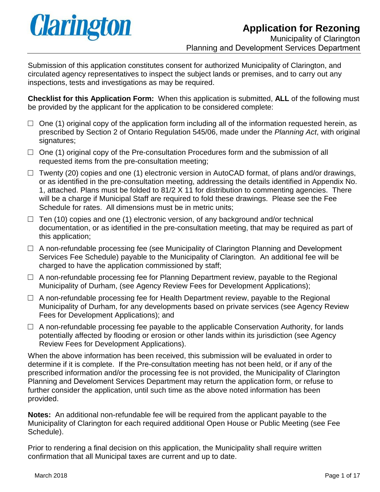

Submission of this application constitutes consent for authorized Municipality of Clarington, and circulated agency representatives to inspect the subject lands or premises, and to carry out any inspections, tests and investigations as may be required.

**Checklist for this Application Form:** When this application is submitted, **ALL** of the following must be provided by the applicant for the application to be considered complete:

- $\Box$  One (1) original copy of the application form including all of the information requested herein, as prescribed by Section 2 of Ontario Regulation 545/06, made under the *Planning Act*, with original signatures;
- $\Box$  One (1) original copy of the Pre-consultation Procedures form and the submission of all requested items from the pre-consultation meeting;
- $\Box$  Twenty (20) copies and one (1) electronic version in AutoCAD format, of plans and/or drawings, or as identified in the pre-consultation meeting, addressing the details identified in Appendix No. 1, attached. Plans must be folded to 81/2 X 11 for distribution to commenting agencies. There will be a charge if Municipal Staff are required to fold these drawings. Please see the Fee Schedule for rates. All dimensions must be in metric units;
- $\Box$  Ten (10) copies and one (1) electronic version, of any background and/or technical documentation, or as identified in the pre-consultation meeting, that may be required as part of this application;
- $\Box$  A non-refundable processing fee (see Municipality of Clarington Planning and Development Services Fee Schedule) payable to the Municipality of Clarington. An additional fee will be charged to have the application commissioned by staff;
- $\Box$  A non-refundable processing fee for Planning Department review, payable to the Regional Municipality of Durham, (see Agency Review Fees for Development Applications);
- $\Box$  A non-refundable processing fee for Health Department review, payable to the Regional Municipality of Durham, for any developments based on private services (see Agency Review Fees for Development Applications); and
- $\Box$  A non-refundable processing fee payable to the applicable Conservation Authority, for lands potentially affected by flooding or erosion or other lands within its jurisdiction (see Agency Review Fees for Development Applications).

When the above information has been received, this submission will be evaluated in order to determine if it is complete. If the Pre-consultation meeting has not been held, or if any of the prescribed information and/or the processing fee is not provided, the Municipality of Clarington Planning and Develoment Services Department may return the application form, or refuse to further consider the application, until such time as the above noted information has been provided.

**Notes:** An additional non-refundable fee will be required from the applicant payable to the Municipality of Clarington for each required additional Open House or Public Meeting (see Fee Schedule).

Prior to rendering a final decision on this application, the Municipality shall require written confirmation that all Municipal taxes are current and up to date.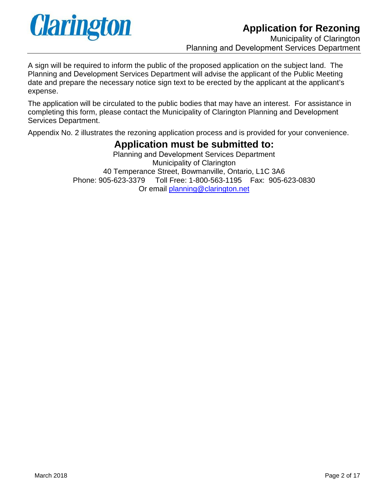

A sign will be required to inform the public of the proposed application on the subject land. The Planning and Development Services Department will advise the applicant of the Public Meeting date and prepare the necessary notice sign text to be erected by the applicant at the applicant's expense.

The application will be circulated to the public bodies that may have an interest. For assistance in completing this form, please contact the Municipality of Clarington Planning and Development Services Department.

Appendix No. 2 illustrates the rezoning application process and is provided for your convenience.

# **Application must be submitted to:**

Planning and Development Services Department Municipality of Clarington 40 Temperance Street, Bowmanville, Ontario, L1C 3A6 Phone: 905-623-3379 Toll Free: 1-800-563-1195 Fax: 905-623-0830 Or email [planning@clarington.net](mailto:planning@clarington.net)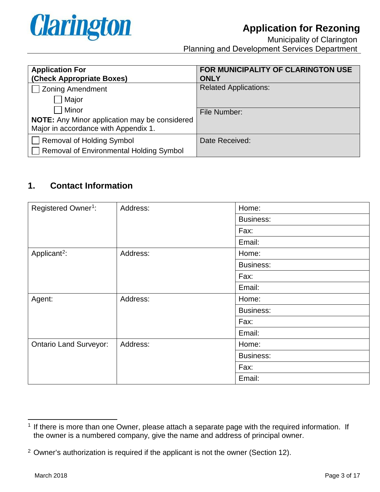

| <b>Application For</b>                               | FOR MUNICIPALITY OF CLARINGTON USE |
|------------------------------------------------------|------------------------------------|
| (Check Appropriate Boxes)                            | <b>ONLY</b>                        |
| <b>Zoning Amendment</b>                              | <b>Related Applications:</b>       |
| Major                                                |                                    |
| Minor                                                | File Number:                       |
| <b>NOTE:</b> Any Minor application may be considered |                                    |
| Major in accordance with Appendix 1.                 |                                    |
| Removal of Holding Symbol                            | Date Received:                     |
| Removal of Environmental Holding Symbol              |                                    |

## **1. Contact Information**

| Registered Owner <sup>1</sup> : | Address: | Home:            |
|---------------------------------|----------|------------------|
|                                 |          | <b>Business:</b> |
|                                 |          | Fax:             |
|                                 |          | Email:           |
| Applicant <sup>2</sup> :        | Address: | Home:            |
|                                 |          | <b>Business:</b> |
|                                 |          | Fax:             |
|                                 |          | Email:           |
| Agent:                          | Address: | Home:            |
|                                 |          | <b>Business:</b> |
|                                 |          | Fax:             |
|                                 |          | Email:           |
| <b>Ontario Land Surveyor:</b>   | Address: | Home:            |
|                                 |          | <b>Business:</b> |
|                                 |          | Fax:             |
|                                 |          | Email:           |

<span id="page-2-0"></span> $<sup>1</sup>$  If there is more than one Owner, please attach a separate page with the required information. If</sup> the owner is a numbered company, give the name and address of principal owner.

<span id="page-2-1"></span><sup>&</sup>lt;sup>2</sup> Owner's authorization is required if the applicant is not the owner (Section 12).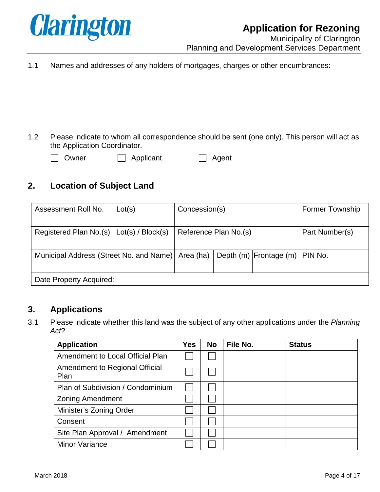

1.1 Names and addresses of any holders of mortgages, charges or other encumbrances:

1.2 Please indicate to whom all correspondence should be sent (one only). This person will act as the Application Coordinator.

| wn |
|----|
|    |

er **D** Applicant **D** Agent

## **2. Location of Subject Land**

| Assessment Roll No.                               | Lot(s) | Concession(s) |                       |                                  | <b>Former Township</b> |
|---------------------------------------------------|--------|---------------|-----------------------|----------------------------------|------------------------|
| Registered Plan No.(s)   Lot(s) / Block(s)        |        |               | Reference Plan No.(s) |                                  | Part Number(s)         |
| Municipal Address (Street No. and Name) Area (ha) |        |               |                       | Depth (m) Frontage (m)   PIN No. |                        |
| Date Property Acquired:                           |        |               |                       |                                  |                        |

### **3. Applications**

3.1 Please indicate whether this land was the subject of any other applications under the *Planning Act*?

| <b>Application</b>                     | <b>Yes</b> | <b>No</b> | File No. | <b>Status</b> |
|----------------------------------------|------------|-----------|----------|---------------|
| Amendment to Local Official Plan       |            |           |          |               |
| Amendment to Regional Official<br>Plan |            |           |          |               |
| Plan of Subdivision / Condominium      |            |           |          |               |
| <b>Zoning Amendment</b>                |            |           |          |               |
| Minister's Zoning Order                |            |           |          |               |
| Consent                                |            |           |          |               |
| Site Plan Approval / Amendment         |            |           |          |               |
| <b>Minor Variance</b>                  |            |           |          |               |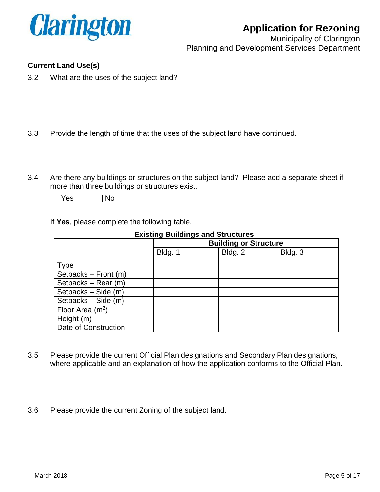

#### **Current Land Use(s)**

- 3.2 What are the uses of the subject land?
- 3.3 Provide the length of time that the uses of the subject land have continued.
- 3.4 Are there any buildings or structures on the subject land? Please add a separate sheet if more than three buildings or structures exist.

| es | N٥<br>I |
|----|---------|
|----|---------|

If **Yes**, please complete the following table.

|                      | <b>Building or Structure</b> |         |         |
|----------------------|------------------------------|---------|---------|
|                      | Bldg. 1                      | Bldg. 2 | Bldg. 3 |
| <b>Type</b>          |                              |         |         |
| Setbacks - Front (m) |                              |         |         |
| Setbacks - Rear (m)  |                              |         |         |
| Setbacks - Side (m)  |                              |         |         |
| Setbacks - Side (m)  |                              |         |         |
| Floor Area $(m^2)$   |                              |         |         |
| Height (m)           |                              |         |         |
| Date of Construction |                              |         |         |

#### **Existing Buildings and Structures**

- 3.5 Please provide the current Official Plan designations and Secondary Plan designations, where applicable and an explanation of how the application conforms to the Official Plan.
- 3.6 Please provide the current Zoning of the subject land.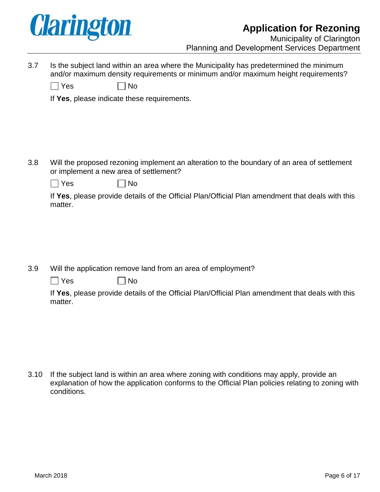

3.7 Is the subject land within an area where the Municipality has predetermined the minimum and/or maximum density requirements or minimum and/or maximum height requirements?

| l Yes | $\Box$ No |
|-------|-----------|
|-------|-----------|

If **Yes**, please indicate these requirements.

3.8 Will the proposed rezoning implement an alteration to the boundary of an area of settlement or implement a new area of settlement?

 $\Box$  Yes  $\Box$  No

If **Yes**, please provide details of the Official Plan/Official Plan amendment that deals with this matter.

3.9 Will the application remove land from an area of employment?

| $\Box$ Yes | $\bigsqcup$ No |
|------------|----------------|
|------------|----------------|

If **Yes**, please provide details of the Official Plan/Official Plan amendment that deals with this matter.

3.10 If the subject land is within an area where zoning with conditions may apply, provide an explanation of how the application conforms to the Official Plan policies relating to zoning with conditions.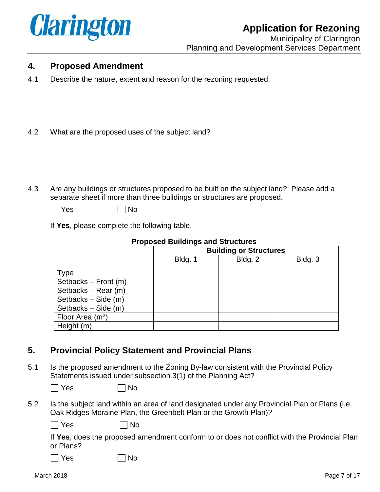

## **4. Proposed Amendment**

- 4.1 Describe the nature, extent and reason for the rezoning requested:
- 4.2 What are the proposed uses of the subject land?
- 4.3 Are any buildings or structures proposed to be built on the subject land? Please add a separate sheet if more than three buildings or structures are proposed.
	- $\Box$  Yes  $\Box$  No

If **Yes**, please complete the following table.

| <u>Froposed Bulldings and Structures</u> |         |                               |         |  |
|------------------------------------------|---------|-------------------------------|---------|--|
|                                          |         | <b>Building or Structures</b> |         |  |
|                                          | Bldg. 1 | Bldg. 2                       | Bldg. 3 |  |
| <b>Type</b>                              |         |                               |         |  |
| Setbacks - Front (m)                     |         |                               |         |  |
| Setbacks - Rear (m)                      |         |                               |         |  |
| Setbacks – Side (m)                      |         |                               |         |  |
| Setbacks - Side (m)                      |         |                               |         |  |
| Floor Area $(m^2)$                       |         |                               |         |  |
| Height (m)                               |         |                               |         |  |

#### **Proposed Buildings and Structures**

## **5. Provincial Policy Statement and Provincial Plans**

N<sub>o</sub>

5.1 Is the proposed amendment to the Zoning By-law consistent with the Provincial Policy Statements issued under subsection 3(1) of the Planning Act?

 $\Box$  Yes  $\Box$  No

5.2 Is the subject land within an area of land designated under any Provincial Plan or Plans (i.e. Oak Ridges Moraine Plan, the Greenbelt Plan or the Growth Plan)?

 $\Box$  Yes  $\Box$  No

If **Yes**, does the proposed amendment conform to or does not conflict with the Provincial Plan or Plans?

|  | <b>Yes</b> |  |
|--|------------|--|
|  |            |  |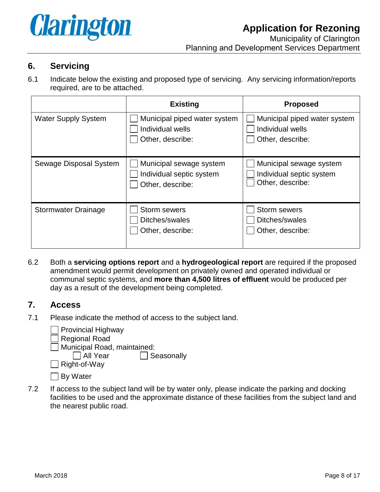

#### **6. Servicing**

6.1 Indicate below the existing and proposed type of servicing. Any servicing information/reports required, are to be attached.

|                            | <b>Existing</b>                                                         | <b>Proposed</b>                                                         |
|----------------------------|-------------------------------------------------------------------------|-------------------------------------------------------------------------|
| <b>Water Supply System</b> | Municipal piped water system<br>Individual wells<br>Other, describe:    | Municipal piped water system<br>Individual wells<br>Other, describe:    |
| Sewage Disposal System     | Municipal sewage system<br>Individual septic system<br>Other, describe: | Municipal sewage system<br>Individual septic system<br>Other, describe: |
| <b>Stormwater Drainage</b> | Storm sewers<br>Ditches/swales<br>Other, describe:                      | Storm sewers<br>Ditches/swales<br>Other, describe:                      |

6.2 Both a **servicing options report** and a **hydrogeological report** are required if the proposed amendment would permit development on privately owned and operated individual or communal septic systems, and **more than 4,500 litres of effluent** would be produced per day as a result of the development being completed.

#### **7. Access**

7.1 Please indicate the method of access to the subject land.

Provincial Highway Regional Road Municipal Road, maintained:<br>  $\Box$  All Year  $\Box$  Seasonally Right-of-Way  $\Box$  By Water

7.2 If access to the subject land will be by water only, please indicate the parking and docking facilities to be used and the approximate distance of these facilities from the subject land and the nearest public road.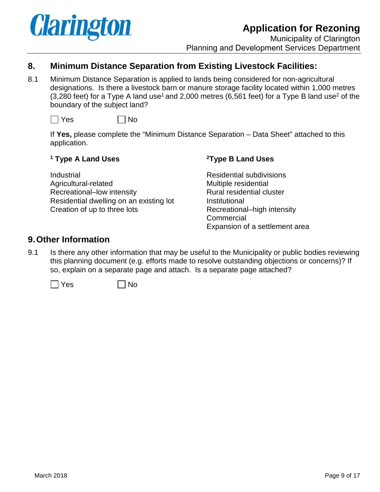

## **8. Minimum Distance Separation from Existing Livestock Facilities:**

8.1 Minimum Distance Separation is applied to lands being considered for non-agricultural designations. Is there a livestock barn or manure storage facility located within 1,000 metres (3,280 feet) for a Type A land use<sup>1</sup> and 2,000 metres (6,561 feet) for a Type B land use<sup>2</sup> of the boundary of the subject land?



If **Yes,** please complete the "Minimum Distance Separation – Data Sheet" attached to this application.

#### **<sup>1</sup> Type A Land Uses 2Type B Land Uses**

Industrial Residential subdivisions Agricultural-related Multiple residential Recreational–low intensity Rural residential cluster Residential dwelling on an existing lot **Institutional** Creation of up to three lots Recreational–high intensity

**Commercial** Expansion of a settlement area

#### **9.Other Information**

9.1 Is there any other information that may be useful to the Municipality or public bodies reviewing this planning document (e.g. efforts made to resolve outstanding objections or concerns)? If so, explain on a separate page and attach. Is a separate page attached?

 $\Box$  Yes  $\Box$  No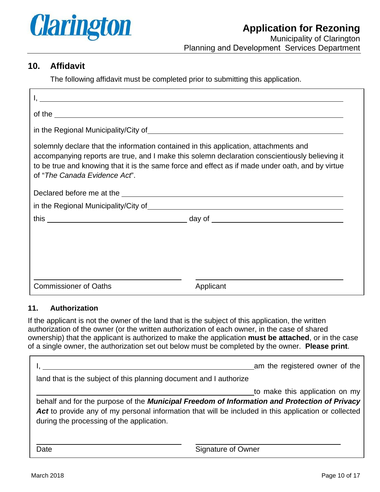

## **10. Affidavit**

The following affidavit must be completed prior to submitting this application.

| <u> 1980 - Andrea Brasil, amerikan basar basal dan berasal dan berasal dalam basal dalam basal dan berasal dalam</u> |                                                                                                                                                                                                                                                                                            |
|----------------------------------------------------------------------------------------------------------------------|--------------------------------------------------------------------------------------------------------------------------------------------------------------------------------------------------------------------------------------------------------------------------------------------|
|                                                                                                                      | of the set of the set of the set of the set of the set of the set of the set of the set of the set of the set of the set of the set of the set of the set of the set of the set of the set of the set of the set of the set of                                                             |
|                                                                                                                      |                                                                                                                                                                                                                                                                                            |
| of "The Canada Evidence Act".                                                                                        | solemnly declare that the information contained in this application, attachments and<br>accompanying reports are true, and I make this solemn declaration conscientiously believing it<br>to be true and knowing that it is the same force and effect as if made under oath, and by virtue |
|                                                                                                                      |                                                                                                                                                                                                                                                                                            |
|                                                                                                                      |                                                                                                                                                                                                                                                                                            |
|                                                                                                                      |                                                                                                                                                                                                                                                                                            |
|                                                                                                                      |                                                                                                                                                                                                                                                                                            |
|                                                                                                                      |                                                                                                                                                                                                                                                                                            |
|                                                                                                                      |                                                                                                                                                                                                                                                                                            |
|                                                                                                                      |                                                                                                                                                                                                                                                                                            |
| <b>Commissioner of Oaths</b>                                                                                         | Applicant                                                                                                                                                                                                                                                                                  |

#### **11. Authorization**

If the applicant is not the owner of the land that is the subject of this application, the written authorization of the owner (or the written authorization of each owner, in the case of shared ownership) that the applicant is authorized to make the application **must be attached**, or in the case of a single owner, the authorization set out below must be completed by the owner. **Please print**.

|                                                                    | am the registered owner of the                                                                                                                                                                                                         |
|--------------------------------------------------------------------|----------------------------------------------------------------------------------------------------------------------------------------------------------------------------------------------------------------------------------------|
| land that is the subject of this planning document and I authorize |                                                                                                                                                                                                                                        |
|                                                                    | to make this application on my<br>behalf and for the purpose of the Municipal Freedom of Information and Protection of Privacy<br>Act to provide any of my personal information that will be included in this application or collected |
| during the processing of the application.                          |                                                                                                                                                                                                                                        |
| Date                                                               | Signature of Owner                                                                                                                                                                                                                     |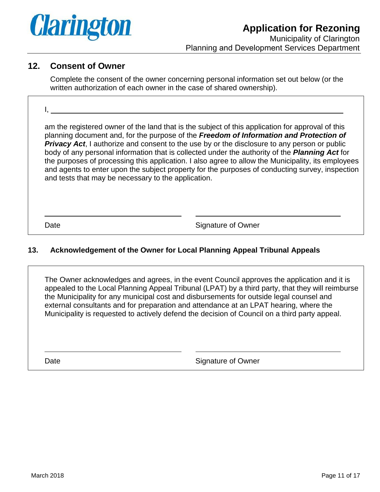

### **12. Consent of Owner**

Complete the consent of the owner concerning personal information set out below (or the written authorization of each owner in the case of shared ownership).

I,

am the registered owner of the land that is the subject of this application for approval of this planning document and, for the purpose of the *Freedom of Information and Protection of*  **Privacy Act**, I authorize and consent to the use by or the disclosure to any person or public body of any personal information that is collected under the authority of the *Planning Act* for the purposes of processing this application. I also agree to allow the Municipality, its employees and agents to enter upon the subject property for the purposes of conducting survey, inspection and tests that may be necessary to the application.

Date **Signature of Owner** 

#### **13. Acknowledgement of the Owner for Local Planning Appeal Tribunal Appeals**

The Owner acknowledges and agrees, in the event Council approves the application and it is appealed to the Local Planning Appeal Tribunal (LPAT) by a third party, that they will reimburse the Municipality for any municipal cost and disbursements for outside legal counsel and external consultants and for preparation and attendance at an LPAT hearing, where the Municipality is requested to actively defend the decision of Council on a third party appeal.

Date **Signature of Owner**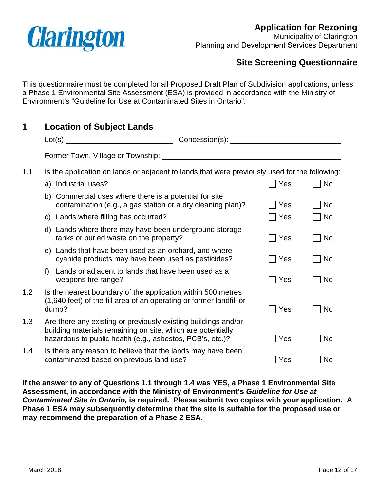

Municipality of Clarington Planning and Development Services Department

## **Site Screening Questionnaire**

This questionnaire must be completed for all Proposed Draft Plan of Subdivision applications, unless a Phase 1 Environmental Site Assessment (ESA) is provided in accordance with the Ministry of Environment's "Guideline for Use at Contaminated Sites in Ontario".

| 1   |    | <b>Location of Subject Lands</b>                                                                                                                                                           |  |               |           |  |  |  |
|-----|----|--------------------------------------------------------------------------------------------------------------------------------------------------------------------------------------------|--|---------------|-----------|--|--|--|
|     |    |                                                                                                                                                                                            |  |               |           |  |  |  |
|     |    | Former Town, Village or Township: ________                                                                                                                                                 |  |               |           |  |  |  |
| 1.1 |    | Is the application on lands or adjacent to lands that were previously used for the following:                                                                                              |  |               |           |  |  |  |
|     |    | a) Industrial uses?                                                                                                                                                                        |  | Yes           | <b>No</b> |  |  |  |
|     |    | b) Commercial uses where there is a potential for site<br>contamination (e.g., a gas station or a dry cleaning plan)?                                                                      |  | Yes           | <b>No</b> |  |  |  |
|     |    | c) Lands where filling has occurred?                                                                                                                                                       |  | Yes           | <b>No</b> |  |  |  |
|     | d) | Lands where there may have been underground storage<br>tanks or buried waste on the property?                                                                                              |  | $\exists$ Yes | <b>No</b> |  |  |  |
|     |    | e) Lands that have been used as an orchard, and where<br>cyanide products may have been used as pesticides?                                                                                |  | Yes           | <b>No</b> |  |  |  |
|     | f  | Lands or adjacent to lands that have been used as a<br>weapons fire range?                                                                                                                 |  | Yes           | <b>No</b> |  |  |  |
| 1.2 |    | Is the nearest boundary of the application within 500 metres<br>(1,640 feet) of the fill area of an operating or former landfill or<br>dump?                                               |  | Yes           | <b>No</b> |  |  |  |
| 1.3 |    | Are there any existing or previously existing buildings and/or<br>building materials remaining on site, which are potentially<br>hazardous to public health (e.g., asbestos, PCB's, etc.)? |  | Yes           | <b>No</b> |  |  |  |
| 1.4 |    | Is there any reason to believe that the lands may have been<br>contaminated based on previous land use?                                                                                    |  | Yes           | <b>No</b> |  |  |  |

**If the answer to any of Questions 1.1 through 1.4 was YES, a Phase 1 Environmental Site Assessment, in accordance with the Ministry of Environment's** *Guideline for Use at Contaminated Site in Ontario,* **is required. Please submit two copies with your application. A Phase 1 ESA may subsequently determine that the site is suitable for the proposed use or may recommend the preparation of a Phase 2 ESA.**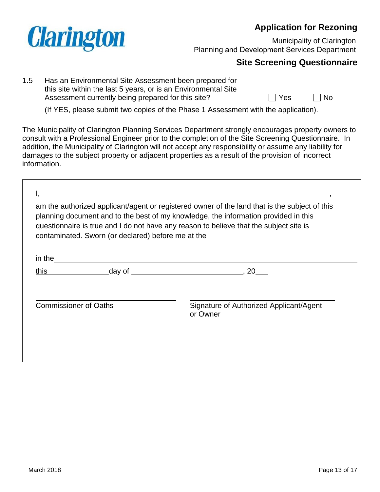

Municipality of Clarington Planning and Development Services Department

## **Site Screening Questionnaire**

1.5 Has an Environmental Site Assessment been prepared for this site within the last 5 years, or is an Environmental Site Assessment currently being prepared for this site?  $\Box$  Yes  $\Box$  No

(If YES, please submit two copies of the Phase 1 Assessment with the application).

The Municipality of Clarington Planning Services Department strongly encourages property owners to consult with a Professional Engineer prior to the completion of the Site Screening Questionnaire. In addition, the Municipality of Clarington will not accept any responsibility or assume any liability for damages to the subject property or adjacent properties as a result of the provision of incorrect information.

|        | contaminated. Sworn (or declared) before me at the | am the authorized applicant/agent or registered owner of the land that is the subject of this<br>planning document and to the best of my knowledge, the information provided in this<br>questionnaire is true and I do not have any reason to believe that the subject site is |
|--------|----------------------------------------------------|--------------------------------------------------------------------------------------------------------------------------------------------------------------------------------------------------------------------------------------------------------------------------------|
| in the |                                                    |                                                                                                                                                                                                                                                                                |
| this   | day of                                             | 20<br><u> 1980 - Jan Stein Stein Stein Stein Stein Stein Stein Stein Stein Stein Stein Stein Stein Stein Stein Stein S</u>                                                                                                                                                     |
|        | <b>Commissioner of Oaths</b>                       | Signature of Authorized Applicant/Agent                                                                                                                                                                                                                                        |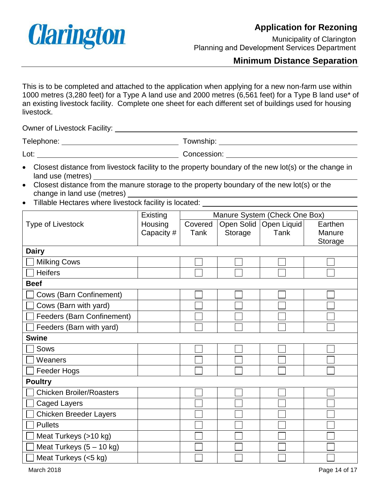

Municipality of Clarington Planning and Development Services Department

## **Minimum Distance Separation**

This is to be completed and attached to the application when applying for a new non-farm use within 1000 metres (3,280 feet) for a Type A land use and 2000 metres (6,561 feet) for a Type B land use\* of an existing livestock facility. Complete one sheet for each different set of buildings used for housing livestock.

Owner of Livestock Facility:

Telephone: Township:

- Lot: Concession:
- Closest distance from livestock facility to the property boundary of the new lot(s) or the change in land use (metres)
- Closest distance from the manure storage to the property boundary of the new lot(s) or the change in land use (metres)
- Tillable Hectares where livestock facility is located:

|                                   | Existing   | Manure System (Check One Box) |         |                          |         |  |
|-----------------------------------|------------|-------------------------------|---------|--------------------------|---------|--|
| <b>Type of Livestock</b>          | Housing    | Covered                       |         | Open Solid   Open Liquid | Earthen |  |
|                                   | Capacity # | Tank                          | Storage | Tank                     | Manure  |  |
|                                   |            |                               |         |                          | Storage |  |
| <b>Dairy</b>                      |            |                               |         |                          |         |  |
| <b>Milking Cows</b>               |            |                               |         |                          |         |  |
| <b>Heifers</b>                    |            |                               |         |                          |         |  |
| <b>Beef</b>                       |            |                               |         |                          |         |  |
| <b>Cows (Barn Confinement)</b>    |            |                               |         |                          |         |  |
| Cows (Barn with yard)             |            |                               |         |                          |         |  |
| <b>Feeders (Barn Confinement)</b> |            |                               |         |                          |         |  |
| Feeders (Barn with yard)          |            |                               |         |                          |         |  |
| <b>Swine</b>                      |            |                               |         |                          |         |  |
| Sows                              |            |                               |         |                          |         |  |
| Weaners                           |            |                               |         |                          |         |  |
| Feeder Hogs                       |            |                               |         |                          |         |  |
| <b>Poultry</b>                    |            |                               |         |                          |         |  |
| <b>Chicken Broiler/Roasters</b>   |            |                               |         |                          |         |  |
| <b>Caged Layers</b>               |            |                               |         |                          |         |  |
| <b>Chicken Breeder Layers</b>     |            |                               |         |                          |         |  |
| <b>Pullets</b>                    |            |                               |         |                          |         |  |
| Meat Turkeys (>10 kg)             |            |                               |         |                          |         |  |
| Meat Turkeys $(5 - 10$ kg)        |            |                               |         |                          |         |  |
| Meat Turkeys (<5 kg)              |            |                               |         |                          |         |  |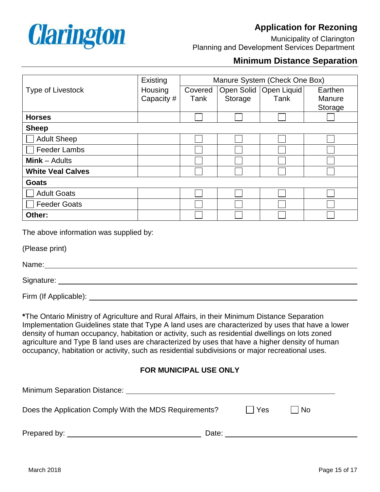

Municipality of Clarington Planning and Development Services Department

## **Minimum Distance Separation**

|                                        | Existing   | Manure System (Check One Box) |         |                          |         |  |
|----------------------------------------|------------|-------------------------------|---------|--------------------------|---------|--|
| <b>Type of Livestock</b>               | Housing    | Covered                       |         | Open Solid   Open Liquid | Earthen |  |
|                                        | Capacity # | Tank                          | Storage | Tank                     | Manure  |  |
|                                        |            |                               |         |                          | Storage |  |
| <b>Horses</b>                          |            |                               |         |                          |         |  |
| <b>Sheep</b>                           |            |                               |         |                          |         |  |
| <b>Adult Sheep</b>                     |            |                               |         |                          |         |  |
| <b>Feeder Lambs</b>                    |            |                               |         |                          |         |  |
| $Mink -$ Adults                        |            |                               |         |                          |         |  |
| <b>White Veal Calves</b>               |            |                               |         |                          |         |  |
| <b>Goats</b>                           |            |                               |         |                          |         |  |
| <b>Adult Goats</b>                     |            |                               |         |                          |         |  |
| <b>Feeder Goats</b>                    |            |                               |         |                          |         |  |
| Other:                                 |            |                               |         |                          |         |  |
| The above information was supplied by: |            |                               |         |                          |         |  |

(Please print)

Name: when the contract of the contract of the contract of the contract of the contract of the contract of the contract of the contract of the contract of the contract of the contract of the contract of the contract of the

Signature:

Firm (If Applicable):

**\***The Ontario Ministry of Agriculture and Rural Affairs, in their Minimum Distance Separation Implementation Guidelines state that Type A land uses are characterized by uses that have a lower density of human occupancy, habitation or activity, such as residential dwellings on lots zoned agriculture and Type B land uses are characterized by uses that have a higher density of human occupancy, habitation or activity, such as residential subdivisions or major recreational uses.

#### **FOR MUNICIPAL USE ONLY**

| <b>Minimum Separation Distance:</b>                    |       |       |     |  |
|--------------------------------------------------------|-------|-------|-----|--|
| Does the Application Comply With the MDS Requirements? |       | l Yes | ⊥No |  |
| Prepared by:                                           | Date: |       |     |  |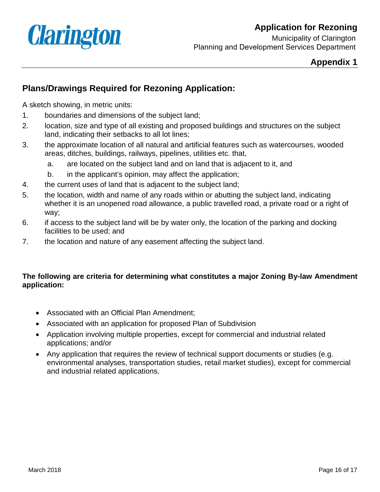

Municipality of Clarington Planning and Development Services Department

## **Appendix 1**

# **Plans/Drawings Required for Rezoning Application:**

A sketch showing, in metric units:

- 1. boundaries and dimensions of the subject land;
- 2. location, size and type of all existing and proposed buildings and structures on the subject land, indicating their setbacks to all lot lines;
- 3. the approximate location of all natural and artificial features such as watercourses, wooded areas, ditches, buildings, railways, pipelines, utilities etc. that,
	- a. are located on the subject land and on land that is adjacent to it, and
	- b. in the applicant's opinion, may affect the application;
- 4. the current uses of land that is adjacent to the subject land;
- 5. the location, width and name of any roads within or abutting the subject land, indicating whether it is an unopened road allowance, a public travelled road, a private road or a right of way;
- 6. if access to the subject land will be by water only, the location of the parking and docking facilities to be used; and
- 7. the location and nature of any easement affecting the subject land.

#### **The following are criteria for determining what constitutes a major Zoning By-law Amendment application:**

- Associated with an Official Plan Amendment;
- Associated with an application for proposed Plan of Subdivision
- Application involving multiple properties, except for commercial and industrial related applications; and/or
- Any application that requires the review of technical support documents or studies (e.g. environmental analyses, transportation studies, retail market studies), except for commercial and industrial related applications.